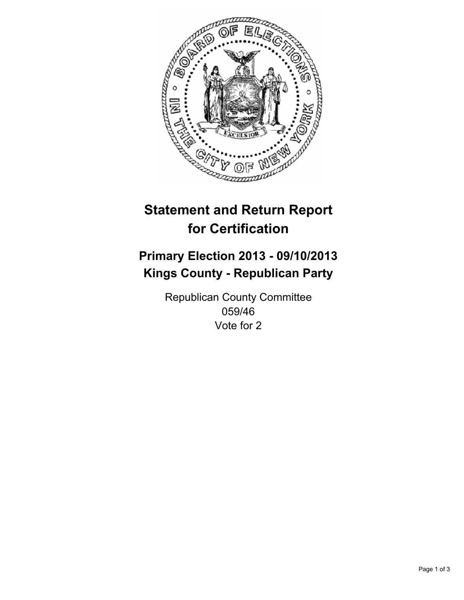

# **Statement and Return Report for Certification**

# **Primary Election 2013 - 09/10/2013 Kings County - Republican Party**

Republican County Committee 059/46 Vote for 2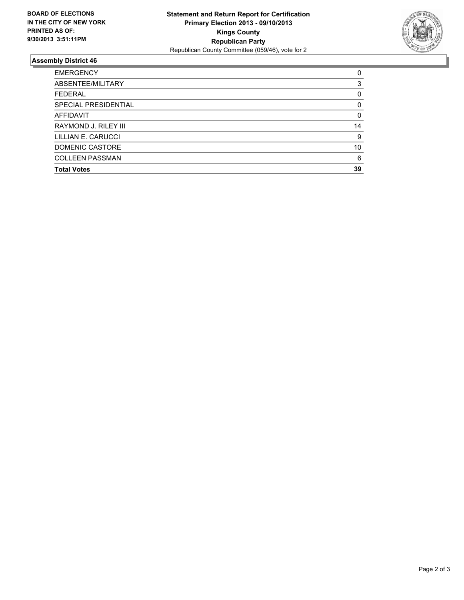

## **Assembly District 46**

| <b>EMERGENCY</b>       | 0        |
|------------------------|----------|
| ABSENTEE/MILITARY      | 3        |
| <b>FEDERAL</b>         | 0        |
| SPECIAL PRESIDENTIAL   | $\Omega$ |
| AFFIDAVIT              | 0        |
| RAYMOND J. RILEY III   | 14       |
| LILLIAN E. CARUCCI     | 9        |
| DOMENIC CASTORE        | 10       |
| <b>COLLEEN PASSMAN</b> | 6        |
| <b>Total Votes</b>     | 39       |